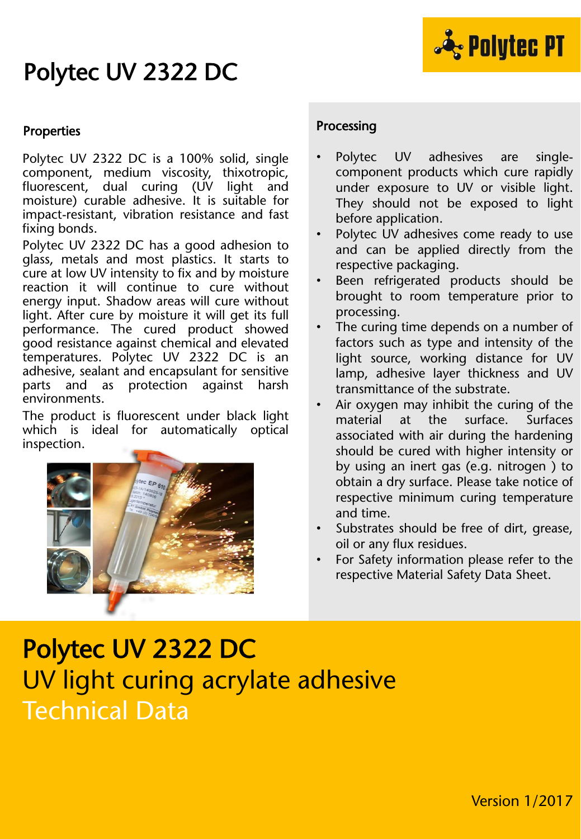### Polytec UV 2322 DC



#### Properties

Polytec UV 2322 DC is a 100% solid, single component, medium viscosity, thixotropic, fluorescent, dual curing (UV light and moisture) curable adhesive. It is suitable for impact-resistant, vibration resistance and fast fixing bonds.

Polytec UV 2322 DC has a good adhesion to glass, metals and most plastics. It starts to cure at low UV intensity to fix and by moisture reaction it will continue to cure without energy input. Shadow areas will cure without light. After cure by moisture it will get its full performance. The cured product showed good resistance against chemical and elevated temperatures. Polytec UV 2322 DC is an adhesive, sealant and encapsulant for sensitive parts and as protection against harsh environments.

The product is fluorescent under black light which is ideal for automatically optical inspection.



#### Processing

- Polytec UV adhesives are singlecomponent products which cure rapidly under exposure to UV or visible light. They should not be exposed to light before application.
- Polytec UV adhesives come ready to use and can be applied directly from the respective packaging.
- Been refrigerated products should be brought to room temperature prior to processing.
- The curing time depends on a number of factors such as type and intensity of the light source, working distance for UV lamp, adhesive layer thickness and UV transmittance of the substrate.
- Air oxygen may inhibit the curing of the material at the surface. Surfaces associated with air during the hardening should be cured with higher intensity or by using an inert gas (e.g. nitrogen ) to obtain a dry surface. Please take notice of respective minimum curing temperature and time.
- Substrates should be free of dirt, grease, oil or any flux residues.
- For Safety information please refer to the respective Material Safety Data Sheet.

# Polytec UV 2322 DC UV light curing acrylate adhesive Technical Data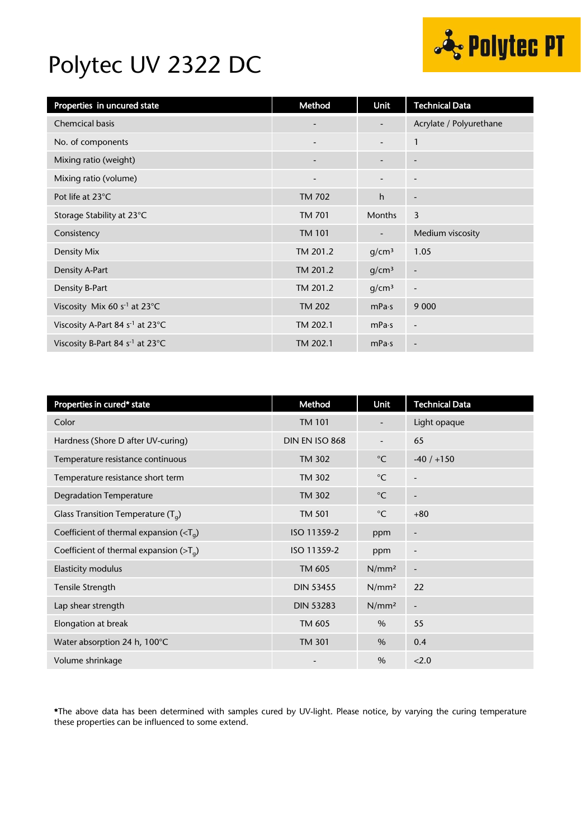

### Polytec UV 2322 DC

| Properties in uncured state                 | Method                   | <b>Unit</b>                  | <b>Technical Data</b>    |
|---------------------------------------------|--------------------------|------------------------------|--------------------------|
| <b>Chemcical basis</b>                      | ٠                        | -                            | Acrylate / Polyurethane  |
| No. of components                           | $\overline{\phantom{a}}$ | $\overline{\phantom{a}}$     | $\mathbf{1}$             |
| Mixing ratio (weight)                       | $\overline{\phantom{0}}$ |                              | $\overline{\phantom{a}}$ |
| Mixing ratio (volume)                       | $\overline{\phantom{a}}$ | $\qquad \qquad \blacksquare$ | $\overline{\phantom{a}}$ |
| Pot life at 23°C                            | <b>TM 702</b>            | $\mathsf{h}$                 | $\overline{\phantom{a}}$ |
| Storage Stability at 23°C                   | TM 701                   | <b>Months</b>                | 3                        |
| Consistency                                 | <b>TM 101</b>            | $\overline{\phantom{a}}$     | Medium viscosity         |
| Density Mix                                 | TM 201.2                 | q/cm <sup>3</sup>            | 1.05                     |
| Density A-Part                              | TM 201.2                 | q/cm <sup>3</sup>            | $\overline{\phantom{a}}$ |
| Density B-Part                              | TM 201.2                 | g/cm <sup>3</sup>            | $\overline{a}$           |
| Viscosity Mix 60 $s-1$ at 23°C              | <b>TM 202</b>            | mPa·s                        | 9 0 0 0                  |
| Viscosity A-Part 84 s <sup>-1</sup> at 23°C | TM 202.1                 | mPa·s                        | $\overline{\phantom{a}}$ |
| Viscosity B-Part 84 s <sup>-1</sup> at 23°C | TM 202.1                 | mPa·s                        | $\overline{\phantom{a}}$ |

| Properties in cured* state                  | Method           | Unit              | <b>Technical Data</b>    |
|---------------------------------------------|------------------|-------------------|--------------------------|
| Color                                       | <b>TM 101</b>    |                   | Light opaque             |
| Hardness (Shore D after UV-curing)          | DIN EN ISO 868   | $\blacksquare$    | 65                       |
| Temperature resistance continuous           | <b>TM 302</b>    | $^{\circ}$ C      | $-40/ +150$              |
| Temperature resistance short term           | TM 302           | $^{\circ}$ C      | $\overline{a}$           |
| <b>Degradation Temperature</b>              | <b>TM 302</b>    | $^{\circ}$ C      | $\overline{\phantom{a}}$ |
| Glass Transition Temperature $(T_q)$        | <b>TM 501</b>    | $^{\circ}$ C      | $+80$                    |
| Coefficient of thermal expansion $(T_a)$    | ISO 11359-2      | ppm               | -                        |
| Coefficient of thermal expansion ( $>T_q$ ) | ISO 11359-2      | ppm               | $\overline{a}$           |
| <b>Elasticity modulus</b>                   | TM 605           | N/mm <sup>2</sup> | $\overline{a}$           |
| Tensile Strength                            | <b>DIN 53455</b> | N/mm <sup>2</sup> | 22                       |
| Lap shear strength                          | <b>DIN 53283</b> | N/mm <sup>2</sup> | $\overline{a}$           |
| Elongation at break                         | TM 605           | $\%$              | 55                       |
| Water absorption 24 h, 100°C                | <b>TM 301</b>    | $\%$              | 0.4                      |
| Volume shrinkage                            |                  | $\frac{0}{0}$     | 2.0                      |

\*The above data has been determined with samples cured by UV-light. Please notice, by varying the curing temperature these properties can be influenced to some extend.